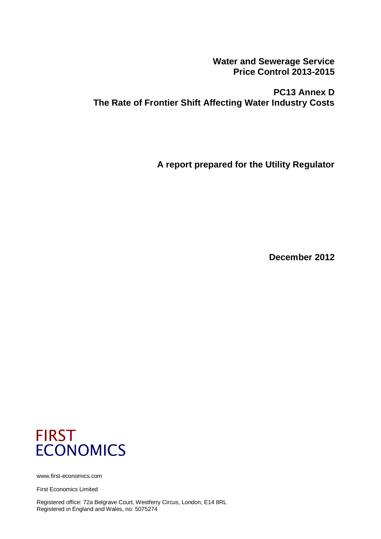**Water and Sewerage Service Price Control 2013-2015**

**PC13 Annex D The Rate of Frontier Shift Affecting Water Industry Costs**

**A report prepared for the Utility Regulator**

**December 2012**



www.first-economics.com

First Economics Limited

Registered office: 72a Belgrave Court, Westferry Circus, London, E14 8RL Registered in England and Wales, no: 5075274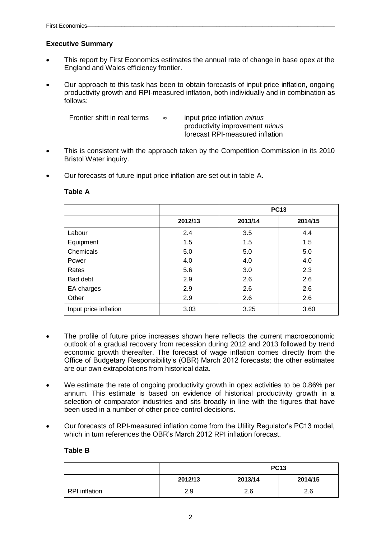## **Executive Summary**

- This report by First Economics estimates the annual rate of change in base opex at the England and Wales efficiency frontier.
- Our approach to this task has been to obtain forecasts of input price inflation, ongoing productivity growth and RPI-measured inflation, both individually and in combination as follows:

| Frontier shift in real terms | $\approx$ | input price inflation <i>minus</i>    |
|------------------------------|-----------|---------------------------------------|
|                              |           | productivity improvement <i>minus</i> |
|                              |           | forecast RPI-measured inflation       |

- This is consistent with the approach taken by the Competition Commission in its 2010 Bristol Water inquiry.
- Our forecasts of future input price inflation are set out in table A.

|                       |         | <b>PC13</b> |         |
|-----------------------|---------|-------------|---------|
|                       | 2012/13 | 2013/14     | 2014/15 |
| Labour                | 2.4     | 3.5         | 4.4     |
| Equipment             | 1.5     | 1.5         | 1.5     |
| Chemicals             | 5.0     | 5.0         | 5.0     |
| Power                 | 4.0     | 4.0         | 4.0     |
| Rates                 | 5.6     | 3.0         | 2.3     |
| Bad debt              | 2.9     | 2.6         | 2.6     |
| EA charges            | 2.9     | 2.6         | 2.6     |
| Other                 | 2.9     | 2.6         | 2.6     |
| Input price inflation | 3.03    | 3.25        | 3.60    |

#### **Table A**

- The profile of future price increases shown here reflects the current macroeconomic outlook of a gradual recovery from recession during 2012 and 2013 followed by trend economic growth thereafter. The forecast of wage inflation comes directly from the Office of Budgetary Responsibility's (OBR) March 2012 forecasts; the other estimates are our own extrapolations from historical data.
- We estimate the rate of ongoing productivity growth in opex activities to be 0.86% per annum. This estimate is based on evidence of historical productivity growth in a selection of comparator industries and sits broadly in line with the figures that have been used in a number of other price control decisions.
- Our forecasts of RPI-measured inflation come from the Utility Regulator's PC13 model, which in turn references the OBR's March 2012 RPI inflation forecast.

### **Table B**

|                      |         | <b>PC13</b> |         |
|----------------------|---------|-------------|---------|
|                      | 2012/13 | 2013/14     | 2014/15 |
| <b>RPI</b> inflation | 2.9     | 2.6         | 2.6     |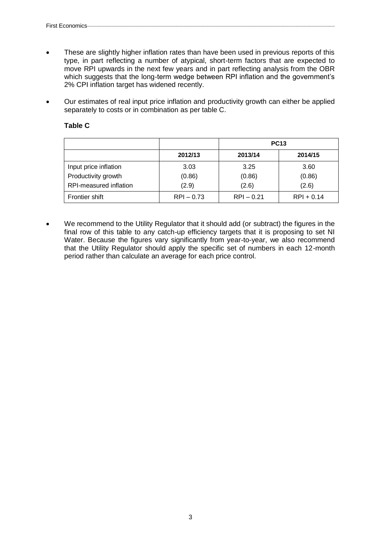- These are slightly higher inflation rates than have been used in previous reports of this type, in part reflecting a number of atypical, short-term factors that are expected to move RPI upwards in the next few years and in part reflecting analysis from the OBR which suggests that the long-term wedge between RPI inflation and the government's 2% CPI inflation target has widened recently.
- Our estimates of real input price inflation and productivity growth can either be applied separately to costs or in combination as per table C.

|                        |              |              | <b>PC13</b>  |
|------------------------|--------------|--------------|--------------|
|                        | 2012/13      | 2013/14      | 2014/15      |
| Input price inflation  | 3.03         | 3.25         | 3.60         |
| Productivity growth    | (0.86)       | (0.86)       | (0.86)       |
| RPI-measured inflation | (2.9)        | (2.6)        | (2.6)        |
| Frontier shift         | $RPI - 0.73$ | $RPI - 0.21$ | $RPI + 0.14$ |

### **Table C**

 We recommend to the Utility Regulator that it should add (or subtract) the figures in the final row of this table to any catch-up efficiency targets that it is proposing to set NI Water. Because the figures vary significantly from year-to-year, we also recommend that the Utility Regulator should apply the specific set of numbers in each 12-month period rather than calculate an average for each price control.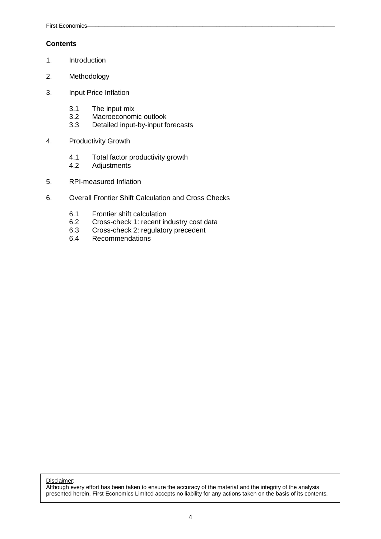## **Contents**

- 1. Introduction
- 2. Methodology
- 3. Input Price Inflation
	- 3.1 The input mix<br>3.2 Macroeconom
	- 3.2 Macroeconomic outlook<br>3.3 Detailed input-by-input fo
	- Detailed input-by-input forecasts
- 4. Productivity Growth
	- 4.1 Total factor productivity growth
	- 4.2 Adjustments
- 5. RPI-measured Inflation
- 6. Overall Frontier Shift Calculation and Cross Checks
	- 6.1 Frontier shift calculation<br>6.2 Cross-check 1: recent in
	- Cross-check 1: recent industry cost data
	- 6.3 Cross-check 2: regulatory precedent
	- 6.4 Recommendations

Disclaimer:

Although every effort has been taken to ensure the accuracy of the material and the integrity of the analysis presented herein, First Economics Limited accepts no liability for any actions taken on the basis of its contents.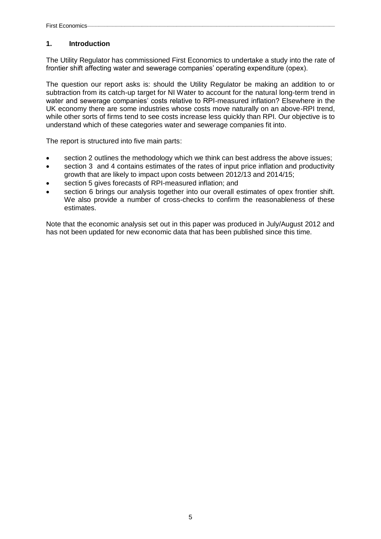## **1. Introduction**

The Utility Regulator has commissioned First Economics to undertake a study into the rate of frontier shift affecting water and sewerage companies' operating expenditure (opex).

The question our report asks is: should the Utility Regulator be making an addition to or subtraction from its catch-up target for NI Water to account for the natural long-term trend in water and sewerage companies' costs relative to RPI-measured inflation? Elsewhere in the UK economy there are some industries whose costs move naturally on an above-RPI trend, while other sorts of firms tend to see costs increase less quickly than RPI. Our objective is to understand which of these categories water and sewerage companies fit into.

The report is structured into five main parts:

- section 2 outlines the methodology which we think can best address the above issues;
- section 3 and 4 contains estimates of the rates of input price inflation and productivity growth that are likely to impact upon costs between 2012/13 and 2014/15;
- section 5 gives forecasts of RPI-measured inflation; and
- section 6 brings our analysis together into our overall estimates of opex frontier shift. We also provide a number of cross-checks to confirm the reasonableness of these estimates.

Note that the economic analysis set out in this paper was produced in July/August 2012 and has not been updated for new economic data that has been published since this time.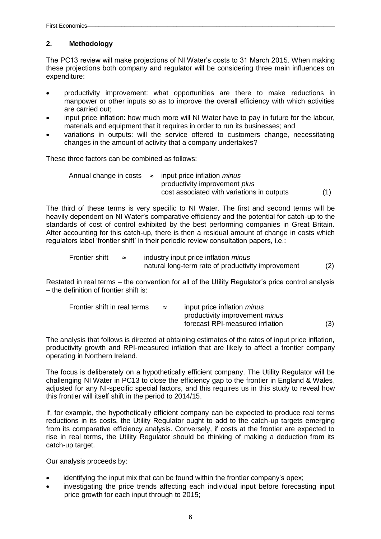## **2. Methodology**

The PC13 review will make projections of NI Water's costs to 31 March 2015. When making these projections both company and regulator will be considering three main influences on expenditure:

- productivity improvement: what opportunities are there to make reductions in manpower or other inputs so as to improve the overall efficiency with which activities are carried out;
- input price inflation: how much more will NI Water have to pay in future for the labour, materials and equipment that it requires in order to run its businesses; and
- variations in outputs: will the service offered to customers change, necessitating changes in the amount of activity that a company undertakes?

These three factors can be combined as follows:

|  | Annual change in costs $\approx$ input price inflation <i>minus</i> |  |
|--|---------------------------------------------------------------------|--|
|  | productivity improvement <i>plus</i>                                |  |
|  | cost associated with variations in outputs                          |  |

The third of these terms is very specific to NI Water. The first and second terms will be heavily dependent on NI Water's comparative efficiency and the potential for catch-up to the standards of cost of control exhibited by the best performing companies in Great Britain. After accounting for this catch-up, there is then a residual amount of change in costs which regulators label 'frontier shift' in their periodic review consultation papers, i.e.:

Frontier shift 
$$
\approx
$$
 industry input price inflation *minus*

\nnatural long-term rate of productivity improvement

\n(2)

Restated in real terms – the convention for all of the Utility Regulator's price control analysis – the definition of frontier shift is:

| Frontier shift in real terms | $\approx$ | input price inflation <i>minus</i>    |     |
|------------------------------|-----------|---------------------------------------|-----|
|                              |           | productivity improvement <i>minus</i> |     |
|                              |           | forecast RPI-measured inflation       | (3) |

The analysis that follows is directed at obtaining estimates of the rates of input price inflation, productivity growth and RPI-measured inflation that are likely to affect a frontier company operating in Northern Ireland.

The focus is deliberately on a hypothetically efficient company. The Utility Regulator will be challenging NI Water in PC13 to close the efficiency gap to the frontier in England & Wales, adjusted for any NI-specific special factors, and this requires us in this study to reveal how this frontier will itself shift in the period to 2014/15.

If, for example, the hypothetically efficient company can be expected to produce real terms reductions in its costs, the Utility Regulator ought to add to the catch-up targets emerging from its comparative efficiency analysis. Conversely, if costs at the frontier are expected to rise in real terms, the Utility Regulator should be thinking of making a deduction from its catch-up target.

Our analysis proceeds by:

- identifying the input mix that can be found within the frontier company's opex;
- investigating the price trends affecting each individual input before forecasting input price growth for each input through to 2015;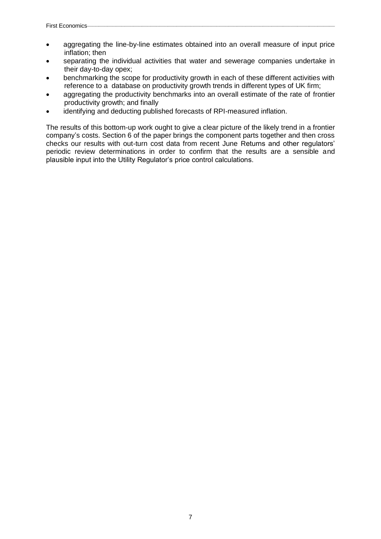- aggregating the line-by-line estimates obtained into an overall measure of input price inflation; then
- separating the individual activities that water and sewerage companies undertake in their day-to-day opex;
- benchmarking the scope for productivity growth in each of these different activities with reference to a database on productivity growth trends in different types of UK firm;
- aggregating the productivity benchmarks into an overall estimate of the rate of frontier productivity growth; and finally
- identifying and deducting published forecasts of RPI-measured inflation.

The results of this bottom-up work ought to give a clear picture of the likely trend in a frontier company's costs. Section 6 of the paper brings the component parts together and then cross checks our results with out-turn cost data from recent June Returns and other regulators' periodic review determinations in order to confirm that the results are a sensible and plausible input into the Utility Regulator's price control calculations.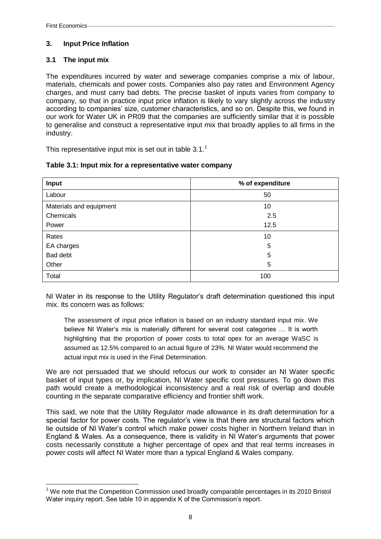1

## **3. Input Price Inflation**

## **3.1 The input mix**

The expenditures incurred by water and sewerage companies comprise a mix of labour, materials, chemicals and power costs. Companies also pay rates and Environment Agency charges, and must carry bad debts. The precise basket of inputs varies from company to company, so that in practice input price inflation is likely to vary slightly across the industry according to companies' size, customer characteristics, and so on. Despite this, we found in our work for Water UK in PR09 that the companies are sufficiently similar that it is possible to generalise and construct a representative input mix that broadly applies to all firms in the industry.

This representative input mix is set out in table  $3.1<sup>1</sup>$ 

| Input                   | % of expenditure |
|-------------------------|------------------|
| Labour                  | 50               |
| Materials and equipment | 10               |
| Chemicals               | 2.5              |
| Power                   | 12.5             |
| Rates                   | 10               |
| EA charges              | 5                |
| Bad debt                | 5                |
| Other                   | 5                |
| Total                   | 100              |

### **Table 3.1: Input mix for a representative water company**

NI Water in its response to the Utility Regulator's draft determination questioned this input mix. Its concern was as follows:

The assessment of input price inflation is based on an industry standard input mix. We believe NI Water's mix is materially different for several cost categories … It is worth highlighting that the proportion of power costs to total opex for an average WaSC is assumed as 12.5% compared to an actual figure of 23%. NI Water would recommend the actual input mix is used in the Final Determination.

We are not persuaded that we should refocus our work to consider an NI Water specific basket of input types or, by implication, NI Water specific cost pressures. To go down this path would create a methodological inconsistency and a real risk of overlap and double counting in the separate comparative efficiency and frontier shift work.

This said, we note that the Utility Regulator made allowance in its draft determination for a special factor for power costs. The regulator's view is that there are structural factors which lie outside of NI Water's control which make power costs higher in Northern Ireland than in England & Wales. As a consequence, there is validity in NI Water's arguments that power costs necessarily constitute a higher percentage of opex and that real terms increases in power costs will affect NI Water more than a typical England & Wales company.

<sup>&</sup>lt;sup>1</sup> We note that the Competition Commission used broadly comparable percentages in its 2010 Bristol Water inquiry report. See table 10 in appendix K of the Commission's report.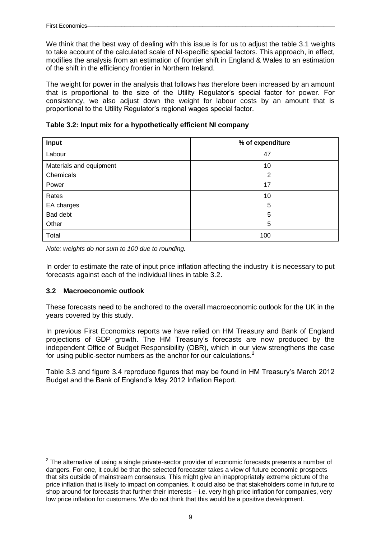We think that the best way of dealing with this issue is for us to adjust the table 3.1 weights to take account of the calculated scale of NI-specific special factors. This approach, in effect, modifies the analysis from an estimation of frontier shift in England & Wales to an estimation of the shift in the efficiency frontier in Northern Ireland.

The weight for power in the analysis that follows has therefore been increased by an amount that is proportional to the size of the Utility Regulator's special factor for power. For consistency, we also adjust down the weight for labour costs by an amount that is proportional to the Utility Regulator's regional wages special factor.

|  |  |  | Table 3.2: Input mix for a hypothetically efficient NI company |
|--|--|--|----------------------------------------------------------------|
|--|--|--|----------------------------------------------------------------|

| Input                   | % of expenditure |
|-------------------------|------------------|
| Labour                  | 47               |
| Materials and equipment | 10               |
| Chemicals               | $\overline{2}$   |
| Power                   | 17               |
| Rates                   | 10               |
| EA charges              | 5                |
| Bad debt                | 5                |
| Other                   | 5                |
| Total                   | 100              |

*Note: weights do not sum to 100 due to rounding.*

In order to estimate the rate of input price inflation affecting the industry it is necessary to put forecasts against each of the individual lines in table 3.2.

### **3.2 Macroeconomic outlook**

These forecasts need to be anchored to the overall macroeconomic outlook for the UK in the years covered by this study.

In previous First Economics reports we have relied on HM Treasury and Bank of England projections of GDP growth. The HM Treasury's forecasts are now produced by the independent Office of Budget Responsibility (OBR), which in our view strengthens the case for using public-sector numbers as the anchor for our calculations.<sup>2</sup>

Table 3.3 and figure 3.4 reproduce figures that may be found in HM Treasury's March 2012 Budget and the Bank of England's May 2012 Inflation Report.

 2 The alternative of using a single private-sector provider of economic forecasts presents a number of dangers. For one, it could be that the selected forecaster takes a view of future economic prospects that sits outside of mainstream consensus. This might give an inappropriately extreme picture of the price inflation that is likely to impact on companies. It could also be that stakeholders come in future to shop around for forecasts that further their interests – i.e. very high price inflation for companies, very low price inflation for customers. We do not think that this would be a positive development.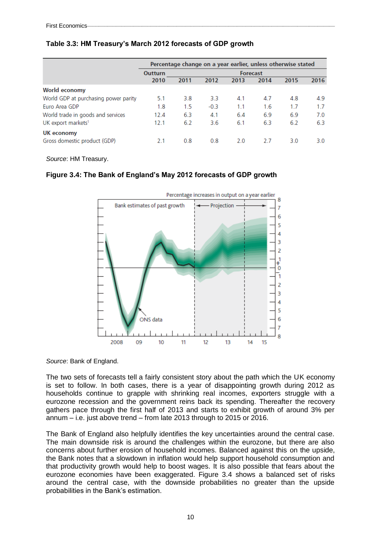|                                      | Percentage change on a year earlier, unless otherwise stated |      |        |                 |      |      |      |
|--------------------------------------|--------------------------------------------------------------|------|--------|-----------------|------|------|------|
|                                      | <b>Outturn</b>                                               |      |        | <b>Forecast</b> |      |      |      |
|                                      | 2010                                                         | 2011 | 2012   | 2013            | 2014 | 2015 | 2016 |
| World economy                        |                                                              |      |        |                 |      |      |      |
| World GDP at purchasing power parity | 5.1                                                          | 3.8  | 3.3    | 4.1             | 4.7  | 4.8  | 4.9  |
| Euro Area GDP                        | 1.8                                                          | 1.5  | $-0.3$ | 1.1             | 1.6  | 1.7  | 1.7  |
| World trade in goods and services    | 12.4                                                         | 6.3  | 4.1    | 6.4             | 6.9  | 6.9  | 7.0  |
| UK export markets <sup>1</sup>       | 12.1                                                         | 6.2  | 3.6    | 6.1             | 6.3  | 6.2  | 6.3  |
| UK economy                           |                                                              |      |        |                 |      |      |      |
| Gross domestic product (GDP)         | 2.1                                                          | 0.8  | 0.8    | 2.0             | 27   | 3.0  | 3.0  |

#### **Table 3.3: HM Treasury's March 2012 forecasts of GDP growth**

*Source*: HM Treasury.

#### **Figure 3.4: The Bank of England's May 2012 forecasts of GDP growth**



*Source*: Bank of England.

The two sets of forecasts tell a fairly consistent story about the path which the UK economy is set to follow. In both cases, there is a year of disappointing growth during 2012 as households continue to grapple with shrinking real incomes, exporters struggle with a eurozone recession and the government reins back its spending. Thereafter the recovery gathers pace through the first half of 2013 and starts to exhibit growth of around 3% per annum – i.e. just above trend – from late 2013 through to 2015 or 2016.

The Bank of England also helpfully identifies the key uncertainties around the central case. The main downside risk is around the challenges within the eurozone, but there are also concerns about further erosion of household incomes. Balanced against this on the upside, the Bank notes that a slowdown in inflation would help support household consumption and that productivity growth would help to boost wages. It is also possible that fears about the eurozone economies have been exaggerated. Figure 3.4 shows a balanced set of risks around the central case, with the downside probabilities no greater than the upside probabilities in the Bank's estimation.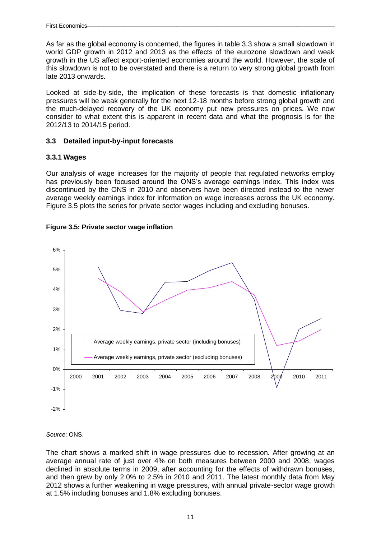As far as the global economy is concerned, the figures in table 3.3 show a small slowdown in world GDP growth in 2012 and 2013 as the effects of the eurozone slowdown and weak growth in the US affect export-oriented economies around the world. However, the scale of this slowdown is not to be overstated and there is a return to very strong global growth from late 2013 onwards.

Looked at side-by-side, the implication of these forecasts is that domestic inflationary pressures will be weak generally for the next 12-18 months before strong global growth and the much-delayed recovery of the UK economy put new pressures on prices. We now consider to what extent this is apparent in recent data and what the prognosis is for the 2012/13 to 2014/15 period.

#### **3.3 Detailed input-by-input forecasts**

### **3.3.1 Wages**

Our analysis of wage increases for the majority of people that regulated networks employ has previously been focused around the ONS's average earnings index. This index was discontinued by the ONS in 2010 and observers have been directed instead to the newer average weekly earnings index for information on wage increases across the UK economy. Figure 3.5 plots the series for private sector wages including and excluding bonuses.



#### **Figure 3.5: Private sector wage inflation**

## *Source*: ONS.

The chart shows a marked shift in wage pressures due to recession. After growing at an average annual rate of just over 4% on both measures between 2000 and 2008, wages declined in absolute terms in 2009, after accounting for the effects of withdrawn bonuses, and then grew by only 2.0% to 2.5% in 2010 and 2011. The latest monthly data from May 2012 shows a further weakening in wage pressures, with annual private-sector wage growth at 1.5% including bonuses and 1.8% excluding bonuses.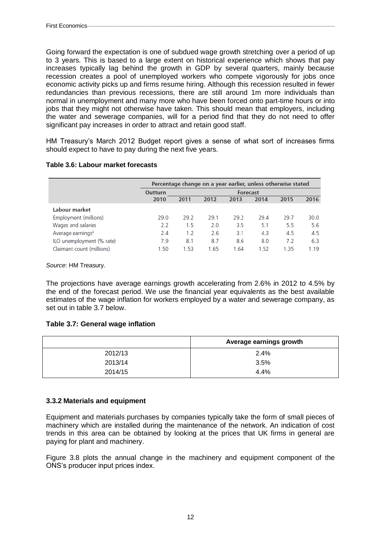Going forward the expectation is one of subdued wage growth stretching over a period of up to 3 years. This is based to a large extent on historical experience which shows that pay increases typically lag behind the growth in GDP by several quarters, mainly because recession creates a pool of unemployed workers who compete vigorously for jobs once economic activity picks up and firms resume hiring. Although this recession resulted in fewer redundancies than previous recessions, there are still around 1m more individuals than normal in unemployment and many more who have been forced onto part-time hours or into jobs that they might not otherwise have taken. This should mean that employers, including the water and sewerage companies, will for a period find that they do not need to offer significant pay increases in order to attract and retain good staff.

HM Treasury's March 2012 Budget report gives a sense of what sort of increases firms should expect to have to pay during the next five years.

|                               |                | Percentage change on a year earlier, unless otherwise stated |      |                 |      |      |      |
|-------------------------------|----------------|--------------------------------------------------------------|------|-----------------|------|------|------|
|                               | <b>Outturn</b> |                                                              |      | <b>Forecast</b> |      |      |      |
|                               | 2010           | 2011                                                         | 2012 | 2013            | 2014 | 2015 | 2016 |
| Labour market                 |                |                                                              |      |                 |      |      |      |
| Employment (millions)         | 29.0           | 29.2                                                         | 29.1 | 29.2            | 29.4 | 29.7 | 30.0 |
| Wages and salaries            | 2.2            | 1.5                                                          | 2.0  | 3.5             | 5.1  | 5.5  | 5.6  |
| Average earnings <sup>6</sup> | 2.4            | 1.2                                                          | 2.6  | 3.1             | 4.3  | 4.5  | 4.5  |
| ILO unemployment (% rate)     | 7.9            | 8.1                                                          | 8.7  | 8.6             | 8.0  | 7.2  | 6.3  |
| Claimant count (millions)     | 1.50           | .53                                                          | 1.65 | 1.64            | 1.52 | 1.35 | 1.19 |

#### **Table 3.6: Labour market forecasts**

*Source*: HM Treasury.

The projections have average earnings growth accelerating from 2.6% in 2012 to 4.5% by the end of the forecast period. We use the financial year equivalents as the best available estimates of the wage inflation for workers employed by a water and sewerage company, as set out in table 3.7 below.

### **Table 3.7: General wage inflation**

|         | Average earnings growth |
|---------|-------------------------|
| 2012/13 | 2.4%                    |
| 2013/14 | 3.5%                    |
| 2014/15 | 4.4%                    |

### **3.3.2 Materials and equipment**

Equipment and materials purchases by companies typically take the form of small pieces of machinery which are installed during the maintenance of the network. An indication of cost trends in this area can be obtained by looking at the prices that UK firms in general are paying for plant and machinery.

Figure 3.8 plots the annual change in the machinery and equipment component of the ONS's producer input prices index.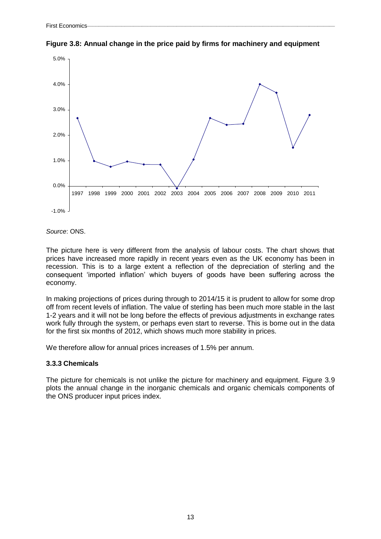

**Figure 3.8: Annual change in the price paid by firms for machinery and equipment**

*Source*: ONS.

The picture here is very different from the analysis of labour costs. The chart shows that prices have increased more rapidly in recent years even as the UK economy has been in recession. This is to a large extent a reflection of the depreciation of sterling and the consequent 'imported inflation' which buyers of goods have been suffering across the economy.

In making projections of prices during through to 2014/15 it is prudent to allow for some drop off from recent levels of inflation. The value of sterling has been much more stable in the last 1-2 years and it will not be long before the effects of previous adjustments in exchange rates work fully through the system, or perhaps even start to reverse. This is borne out in the data for the first six months of 2012, which shows much more stability in prices.

We therefore allow for annual prices increases of 1.5% per annum.

### **3.3.3 Chemicals**

The picture for chemicals is not unlike the picture for machinery and equipment. Figure 3.9 plots the annual change in the inorganic chemicals and organic chemicals components of the ONS producer input prices index.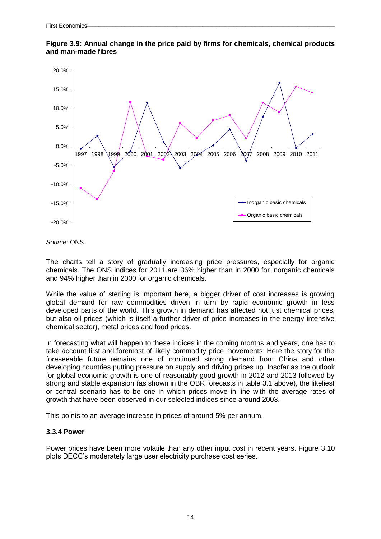



*Source*: ONS.

The charts tell a story of gradually increasing price pressures, especially for organic chemicals. The ONS indices for 2011 are 36% higher than in 2000 for inorganic chemicals and 94% higher than in 2000 for organic chemicals.

While the value of sterling is important here, a bigger driver of cost increases is growing global demand for raw commodities driven in turn by rapid economic growth in less developed parts of the world. This growth in demand has affected not just chemical prices, but also oil prices (which is itself a further driver of price increases in the energy intensive chemical sector), metal prices and food prices.

In forecasting what will happen to these indices in the coming months and years, one has to take account first and foremost of likely commodity price movements. Here the story for the foreseeable future remains one of continued strong demand from China and other developing countries putting pressure on supply and driving prices up. Insofar as the outlook for global economic growth is one of reasonably good growth in 2012 and 2013 followed by strong and stable expansion (as shown in the OBR forecasts in table 3.1 above), the likeliest or central scenario has to be one in which prices move in line with the average rates of growth that have been observed in our selected indices since around 2003.

This points to an average increase in prices of around 5% per annum.

### **3.3.4 Power**

Power prices have been more volatile than any other input cost in recent years. Figure 3.10 plots DECC's moderately large user electricity purchase cost series.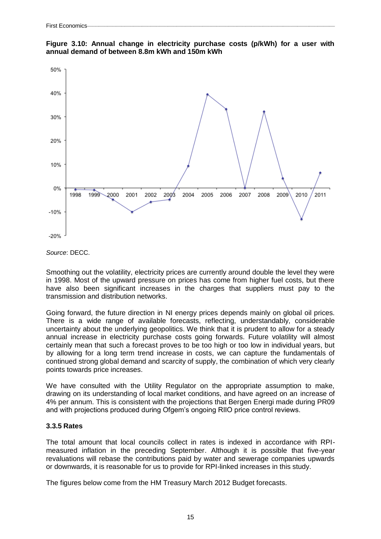



*Source*: DECC.

Smoothing out the volatility, electricity prices are currently around double the level they were in 1998. Most of the upward pressure on prices has come from higher fuel costs, but there have also been significant increases in the charges that suppliers must pay to the transmission and distribution networks.

Going forward, the future direction in NI energy prices depends mainly on global oil prices. There is a wide range of available forecasts, reflecting, understandably, considerable uncertainty about the underlying geopolitics. We think that it is prudent to allow for a steady annual increase in electricity purchase costs going forwards. Future volatility will almost certainly mean that such a forecast proves to be too high or too low in individual years, but by allowing for a long term trend increase in costs, we can capture the fundamentals of continued strong global demand and scarcity of supply, the combination of which very clearly points towards price increases.

We have consulted with the Utility Regulator on the appropriate assumption to make, drawing on its understanding of local market conditions, and have agreed on an increase of 4% per annum. This is consistent with the projections that Bergen Energi made during PR09 and with projections produced during Ofgem's ongoing RIIO price control reviews.

### **3.3.5 Rates**

The total amount that local councils collect in rates is indexed in accordance with RPImeasured inflation in the preceding September. Although it is possible that five-year revaluations will rebase the contributions paid by water and sewerage companies upwards or downwards, it is reasonable for us to provide for RPI-linked increases in this study.

The figures below come from the HM Treasury March 2012 Budget forecasts.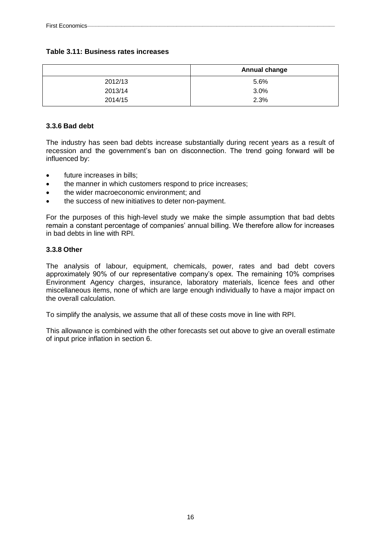### **Table 3.11: Business rates increases**

|         | Annual change |
|---------|---------------|
| 2012/13 | 5.6%          |
| 2013/14 | 3.0%          |
| 2014/15 | 2.3%          |

### **3.3.6 Bad debt**

The industry has seen bad debts increase substantially during recent years as a result of recession and the government's ban on disconnection. The trend going forward will be influenced by:

- future increases in bills;
- the manner in which customers respond to price increases;
- the wider macroeconomic environment; and
- the success of new initiatives to deter non-payment.

For the purposes of this high-level study we make the simple assumption that bad debts remain a constant percentage of companies' annual billing. We therefore allow for increases in bad debts in line with RPI.

### **3.3.8 Other**

The analysis of labour, equipment, chemicals, power, rates and bad debt covers approximately 90% of our representative company's opex. The remaining 10% comprises Environment Agency charges, insurance, laboratory materials, licence fees and other miscellaneous items, none of which are large enough individually to have a major impact on the overall calculation.

To simplify the analysis, we assume that all of these costs move in line with RPI.

This allowance is combined with the other forecasts set out above to give an overall estimate of input price inflation in section 6.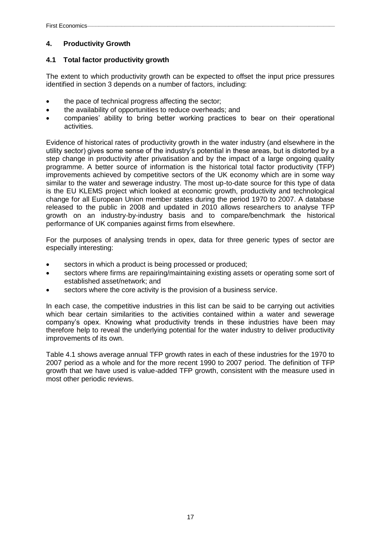### **4. Productivity Growth**

### **4.1 Total factor productivity growth**

The extent to which productivity growth can be expected to offset the input price pressures identified in section 3 depends on a number of factors, including:

- the pace of technical progress affecting the sector;
- the availability of opportunities to reduce overheads; and
- companies' ability to bring better working practices to bear on their operational activities.

Evidence of historical rates of productivity growth in the water industry (and elsewhere in the utility sector) gives some sense of the industry's potential in these areas, but is distorted by a step change in productivity after privatisation and by the impact of a large ongoing quality programme. A better source of information is the historical total factor productivity (TFP) improvements achieved by competitive sectors of the UK economy which are in some way similar to the water and sewerage industry. The most up-to-date source for this type of data is the EU KLEMS project which looked at economic growth, productivity and technological change for all European Union member states during the period 1970 to 2007. A database released to the public in 2008 and updated in 2010 allows researchers to analyse TFP growth on an industry-by-industry basis and to compare/benchmark the historical performance of UK companies against firms from elsewhere.

For the purposes of analysing trends in opex, data for three generic types of sector are especially interesting:

- sectors in which a product is being processed or produced;
- sectors where firms are repairing/maintaining existing assets or operating some sort of established asset/network; and
- sectors where the core activity is the provision of a business service.

In each case, the competitive industries in this list can be said to be carrying out activities which bear certain similarities to the activities contained within a water and sewerage company's opex. Knowing what productivity trends in these industries have been may therefore help to reveal the underlying potential for the water industry to deliver productivity improvements of its own.

Table 4.1 shows average annual TFP growth rates in each of these industries for the 1970 to 2007 period as a whole and for the more recent 1990 to 2007 period. The definition of TFP growth that we have used is value-added TFP growth, consistent with the measure used in most other periodic reviews.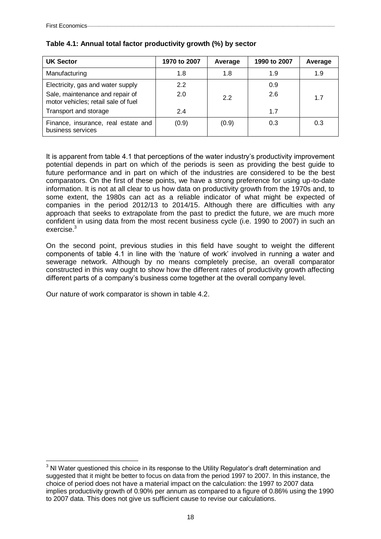<u>.</u>

| <b>UK Sector</b>                                                       | 1970 to 2007 | Average | 1990 to 2007 | Average |
|------------------------------------------------------------------------|--------------|---------|--------------|---------|
| Manufacturing                                                          | 1.8          | 1.8     | 1.9          | 1.9     |
| Electricity, gas and water supply                                      | 2.2          |         | 0.9          |         |
| Sale, maintenance and repair of<br>motor vehicles; retail sale of fuel | 2.0          | 2.2     | 2.6          | 1.7     |
| Transport and storage                                                  | 2.4          |         | 1.7          |         |
| Finance, insurance, real estate and<br>business services               | (0.9)        | (0.9)   | 0.3          | 0.3     |

### **Table 4.1: Annual total factor productivity growth (%) by sector**

It is apparent from table 4.1 that perceptions of the water industry's productivity improvement potential depends in part on which of the periods is seen as providing the best guide to future performance and in part on which of the industries are considered to be the best comparators. On the first of these points, we have a strong preference for using up-to-date information. It is not at all clear to us how data on productivity growth from the 1970s and, to some extent, the 1980s can act as a reliable indicator of what might be expected of companies in the period 2012/13 to 2014/15. Although there are difficulties with any approach that seeks to extrapolate from the past to predict the future, we are much more confident in using data from the most recent business cycle (i.e. 1990 to 2007) in such an exercise.<sup>3</sup>

On the second point, previous studies in this field have sought to weight the different components of table 4.1 in line with the 'nature of work' involved in running a water and sewerage network. Although by no means completely precise, an overall comparator constructed in this way ought to show how the different rates of productivity growth affecting different parts of a company's business come together at the overall company level.

Our nature of work comparator is shown in table 4.2.

 $3$  NI Water questioned this choice in its response to the Utility Regulator's draft determination and suggested that it might be better to focus on data from the period 1997 to 2007. In this instance, the choice of period does not have a material impact on the calculation: the 1997 to 2007 data implies productivity growth of 0.90% per annum as compared to a figure of 0.86% using the 1990 to 2007 data. This does not give us sufficient cause to revise our calculations.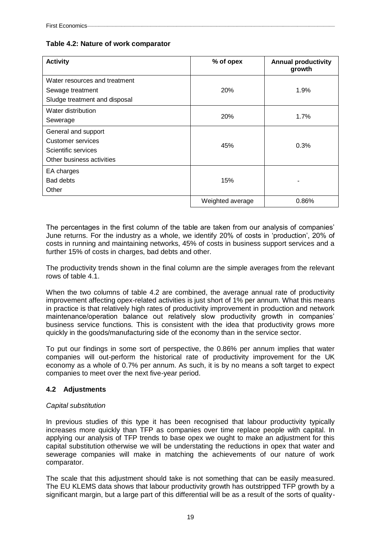### **Table 4.2: Nature of work comparator**

| <b>Activity</b>                                                                              | % of opex        | <b>Annual productivity</b><br>growth |
|----------------------------------------------------------------------------------------------|------------------|--------------------------------------|
| Water resources and treatment<br>Sewage treatment<br>Sludge treatment and disposal           | 20%              | 1.9%                                 |
| Water distribution<br>Sewerage                                                               | <b>20%</b>       | 1.7%                                 |
| General and support<br>Customer services<br>Scientific services<br>Other business activities | 45%              | 0.3%                                 |
| EA charges<br><b>Bad debts</b><br>Other                                                      | 15%              |                                      |
|                                                                                              | Weighted average | 0.86%                                |

The percentages in the first column of the table are taken from our analysis of companies' June returns. For the industry as a whole, we identify 20% of costs in 'production', 20% of costs in running and maintaining networks, 45% of costs in business support services and a further 15% of costs in charges, bad debts and other.

The productivity trends shown in the final column are the simple averages from the relevant rows of table 4.1.

When the two columns of table 4.2 are combined, the average annual rate of productivity improvement affecting opex-related activities is just short of 1% per annum. What this means in practice is that relatively high rates of productivity improvement in production and network maintenance/operation balance out relatively slow productivity growth in companies' business service functions. This is consistent with the idea that productivity grows more quickly in the goods/manufacturing side of the economy than in the service sector.

To put our findings in some sort of perspective, the 0.86% per annum implies that water companies will out-perform the historical rate of productivity improvement for the UK economy as a whole of 0.7% per annum. As such, it is by no means a soft target to expect companies to meet over the next five-year period.

### **4.2 Adjustments**

### *Capital substitution*

In previous studies of this type it has been recognised that labour productivity typically increases more quickly than TFP as companies over time replace people with capital. In applying our analysis of TFP trends to base opex we ought to make an adjustment for this capital substitution otherwise we will be understating the reductions in opex that water and sewerage companies will make in matching the achievements of our nature of work comparator.

The scale that this adjustment should take is not something that can be easily measured. The EU KLEMS data shows that labour productivity growth has outstripped TFP growth by a significant margin, but a large part of this differential will be as a result of the sorts of quality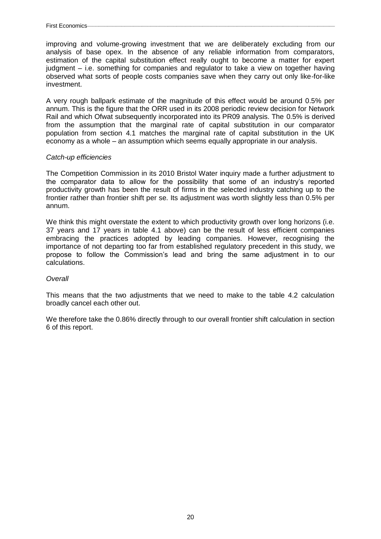improving and volume-growing investment that we are deliberately excluding from our analysis of base opex. In the absence of any reliable information from comparators, estimation of the capital substitution effect really ought to become a matter for expert judgment – i.e. something for companies and regulator to take a view on together having observed what sorts of people costs companies save when they carry out only like-for-like investment.

A very rough ballpark estimate of the magnitude of this effect would be around 0.5% per annum. This is the figure that the ORR used in its 2008 periodic review decision for Network Rail and which Ofwat subsequently incorporated into its PR09 analysis. The 0.5% is derived from the assumption that the marginal rate of capital substitution in our comparator population from section 4.1 matches the marginal rate of capital substitution in the UK economy as a whole – an assumption which seems equally appropriate in our analysis.

#### *Catch-up efficiencies*

The Competition Commission in its 2010 Bristol Water inquiry made a further adjustment to the comparator data to allow for the possibility that some of an industry's reported productivity growth has been the result of firms in the selected industry catching up to the frontier rather than frontier shift per se. Its adjustment was worth slightly less than 0.5% per annum.

We think this might overstate the extent to which productivity growth over long horizons (i.e. 37 years and 17 years in table 4.1 above) can be the result of less efficient companies embracing the practices adopted by leading companies. However, recognising the importance of not departing too far from established regulatory precedent in this study, we propose to follow the Commission's lead and bring the same adjustment in to our calculations.

#### *Overall*

This means that the two adjustments that we need to make to the table 4.2 calculation broadly cancel each other out.

We therefore take the 0.86% directly through to our overall frontier shift calculation in section 6 of this report.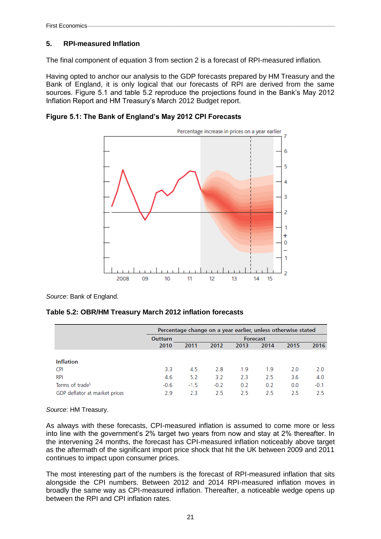## **5. RPI-measured Inflation**

The final component of equation 3 from section 2 is a forecast of RPI-measured inflation.

Having opted to anchor our analysis to the GDP forecasts prepared by HM Treasury and the Bank of England, it is only logical that our forecasts of RPI are derived from the same sources. Figure 5.1 and table 5.2 reproduce the projections found in the Bank's May 2012 Inflation Report and HM Treasury's March 2012 Budget report.

**Figure 5.1: The Bank of England's May 2012 CPI Forecasts**



*Source*: Bank of England.

### **Table 5.2: OBR/HM Treasury March 2012 inflation forecasts**

|                               |                | Percentage change on a year earlier, unless otherwise stated |        |      |                 |      |        |  |
|-------------------------------|----------------|--------------------------------------------------------------|--------|------|-----------------|------|--------|--|
|                               | <b>Outturn</b> |                                                              |        |      | <b>Forecast</b> |      |        |  |
|                               | 2010           | 2011                                                         | 2012   | 2013 | 2014            | 2015 | 2016   |  |
|                               |                |                                                              |        |      |                 |      |        |  |
| <b>Inflation</b>              |                |                                                              |        |      |                 |      |        |  |
| CPI                           | 3.3            | 4.5                                                          | 2.8    | 1.9  | 1.9             | 2.0  | 2.0    |  |
| RPI                           | 4.6            | 5.2                                                          | 3.2    | 2.3  | 2.5             | 3.6  | 4.0    |  |
| Terms of trade <sup>5</sup>   | $-0.6$         | $-1.5$                                                       | $-0.2$ | 0.2  | 0.2             | 0.0  | $-0.1$ |  |
| GDP deflator at market prices | 2.9            | 2.3                                                          | 2.5    | 2.5  | 2.5             | 2.5  | 2.5    |  |

*Source*: HM Treasury.

As always with these forecasts, CPI-measured inflation is assumed to come more or less into line with the government's 2% target two years from now and stay at 2% thereafter. In the intervening 24 months, the forecast has CPI-measured inflation noticeably above target as the aftermath of the significant import price shock that hit the UK between 2009 and 2011 continues to impact upon consumer prices.

The most interesting part of the numbers is the forecast of RPI-measured inflation that sits alongside the CPI numbers. Between 2012 and 2014 RPI-measured inflation moves in broadly the same way as CPI-measured inflation. Thereafter, a noticeable wedge opens up between the RPI and CPI inflation rates.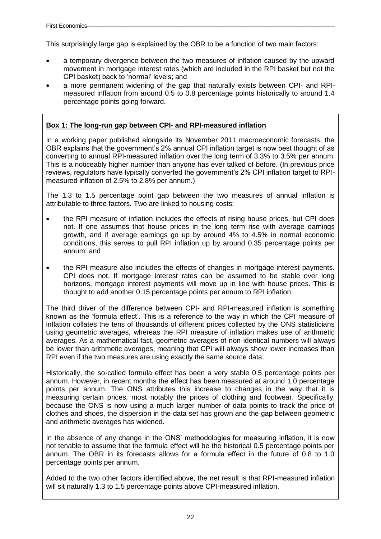This surprisingly large gap is explained by the OBR to be a function of two main factors:

- a temporary divergence between the two measures of inflation caused by the upward movement in mortgage interest rates (which are included in the RPI basket but not the CPI basket) back to 'normal' levels; and
- a more permanent widening of the gap that naturally exists between CPI- and RPImeasured inflation from around 0.5 to 0.8 percentage points historically to around 1.4 percentage points going forward.

# **Box 1: The long-run gap between CPI- and RPI-measured inflation**

In a working paper published alongside its November 2011 macroeconomic forecasts, the OBR explains that the government's 2% annual CPI inflation target is now best thought of as converting to annual RPI-measured inflation over the long term of 3.3% to 3.5% per annum. This is a noticeably higher number than anyone has ever talked of before. (In previous price reviews, regulators have typically converted the government's 2% CPI inflation target to RPImeasured inflation of 2.5% to 2.8% per annum.)

The 1.3 to 1.5 percentage point gap between the two measures of annual inflation is attributable to three factors. Two are linked to housing costs:

- the RPI measure of inflation includes the effects of rising house prices, but CPI does not. If one assumes that house prices in the long term rise with average earnings growth, and if average earnings go up by around 4% to 4.5% in normal economic conditions, this serves to pull RPI inflation up by around 0.35 percentage points per annum; and
- the RPI measure also includes the effects of changes in mortgage interest payments. CPI does not. If mortgage interest rates can be assumed to be stable over long horizons, mortgage interest payments will move up in line with house prices. This is thought to add another 0.15 percentage points per annum to RPI inflation.

The third driver of the difference between CPI- and RPI-measured inflation is something known as the 'formula effect'. This is a reference to the way in which the CPI measure of inflation collates the tens of thousands of different prices collected by the ONS statisticians using geometric averages, whereas the RPI measure of inflation makes use of arithmetic averages. As a mathematical fact, geometric averages of non-identical numbers will always be lower than arithmetic averages, meaning that CPI will always show lower increases than RPI even if the two measures are using exactly the same source data.

Historically, the so-called formula effect has been a very stable 0.5 percentage points per annum. However, in recent months the effect has been measured at around 1.0 percentage points per annum. The ONS attributes this increase to changes in the way that it is measuring certain prices, most notably the prices of clothing and footwear. Specifically, because the ONS is now using a much larger number of data points to track the price of clothes and shoes, the dispersion in the data set has grown and the gap between geometric and arithmetic averages has widened.

In the absence of any change in the ONS' methodologies for measuring inflation, it is now not tenable to assume that the formula effect will be the historical 0.5 percentage points per annum. The OBR in its forecasts allows for a formula effect in the future of 0.8 to 1.0 percentage points per annum.

Added to the two other factors identified above, the net result is that RPI-measured inflation will sit naturally 1.3 to 1.5 percentage points above CPI-measured inflation.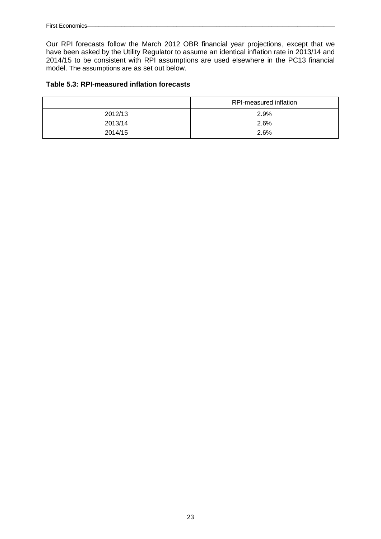Our RPI forecasts follow the March 2012 OBR financial year projections, except that we have been asked by the Utility Regulator to assume an identical inflation rate in 2013/14 and 2014/15 to be consistent with RPI assumptions are used elsewhere in the PC13 financial model. The assumptions are as set out below.

## **Table 5.3: RPI-measured inflation forecasts**

|         | RPI-measured inflation |
|---------|------------------------|
| 2012/13 | 2.9%                   |
| 2013/14 | 2.6%                   |
| 2014/15 | 2.6%                   |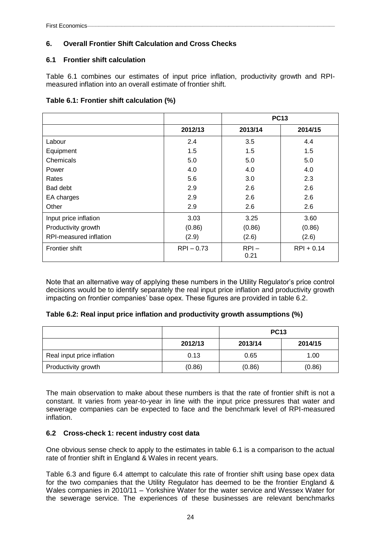# **6. Overall Frontier Shift Calculation and Cross Checks**

### **6.1 Frontier shift calculation**

Table 6.1 combines our estimates of input price inflation, productivity growth and RPImeasured inflation into an overall estimate of frontier shift.

|  |  |  | Table 6.1: Frontier shift calculation (%) |  |
|--|--|--|-------------------------------------------|--|
|--|--|--|-------------------------------------------|--|

|                        |              | <b>PC13</b>     |              |
|------------------------|--------------|-----------------|--------------|
|                        | 2012/13      | 2013/14         | 2014/15      |
| Labour                 | 2.4          | 3.5             | 4.4          |
| Equipment              | 1.5          | 1.5             | 1.5          |
| Chemicals              | 5.0          | 5.0             | 5.0          |
| Power                  | 4.0          | 4.0             | 4.0          |
| Rates                  | 5.6          | 3.0             | 2.3          |
| Bad debt               | 2.9          | 2.6             | 2.6          |
| EA charges             | 2.9          | 2.6             | 2.6          |
| Other                  | 2.9          | 2.6             | 2.6          |
| Input price inflation  | 3.03         | 3.25            | 3.60         |
| Productivity growth    | (0.86)       | (0.86)          | (0.86)       |
| RPI-measured inflation | (2.9)        | (2.6)           | (2.6)        |
| <b>Frontier shift</b>  | $RPI - 0.73$ | $RPI -$<br>0.21 | $RPI + 0.14$ |

Note that an alternative way of applying these numbers in the Utility Regulator's price control decisions would be to identify separately the real input price inflation and productivity growth impacting on frontier companies' base opex. These figures are provided in table 6.2.

### **Table 6.2: Real input price inflation and productivity growth assumptions (%)**

|                            |         | <b>PC13</b> |         |
|----------------------------|---------|-------------|---------|
|                            | 2012/13 | 2013/14     | 2014/15 |
| Real input price inflation | 0.13    | 0.65        | 1.00    |
| Productivity growth        | (0.86)  | (0.86)      | (0.86)  |

The main observation to make about these numbers is that the rate of frontier shift is not a constant. It varies from year-to-year in line with the input price pressures that water and sewerage companies can be expected to face and the benchmark level of RPI-measured inflation.

### **6.2 Cross-check 1: recent industry cost data**

One obvious sense check to apply to the estimates in table 6.1 is a comparison to the actual rate of frontier shift in England & Wales in recent years.

Table 6.3 and figure 6.4 attempt to calculate this rate of frontier shift using base opex data for the two companies that the Utility Regulator has deemed to be the frontier England & Wales companies in 2010/11 – Yorkshire Water for the water service and Wessex Water for the sewerage service. The experiences of these businesses are relevant benchmarks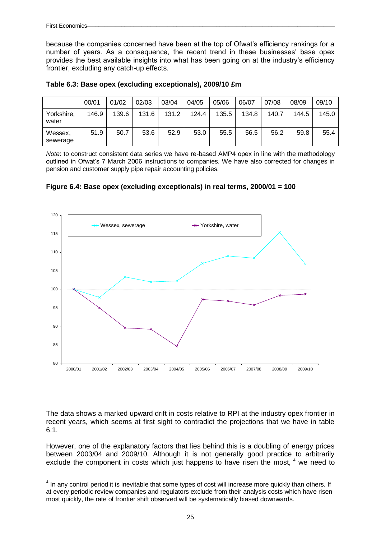because the companies concerned have been at the top of Ofwat's efficiency rankings for a number of years. As a consequence, the recent trend in these businesses' base opex provides the best available insights into what has been going on at the industry's efficiency frontier, excluding any catch-up effects.

|                     | 00/01 | 01/02 | 02/03 | 03/04 | 04/05 | 05/06 | 06/07 | 07/08 | 08/09 | 09/10 |
|---------------------|-------|-------|-------|-------|-------|-------|-------|-------|-------|-------|
| Yorkshire,<br>water | 146.9 | 139.6 | 131.6 | 131.2 | 124.4 | 135.5 | 134.8 | 140.7 | 144.5 | 145.0 |
| Wessex,<br>sewerage | 51.9  | 50.7  | 53.6  | 52.9  | 53.0  | 55.5  | 56.5  | 56.2  | 59.8  | 55.4  |

**Table 6.3: Base opex (excluding exceptionals), 2009/10 £m**

*Note*: to construct consistent data series we have re-based AMP4 opex in line with the methodology outlined in Ofwat's 7 March 2006 instructions to companies. We have also corrected for changes in pension and customer supply pipe repair accounting policies.

**Figure 6.4: Base opex (excluding exceptionals) in real terms, 2000/01 = 100**



The data shows a marked upward drift in costs relative to RPI at the industry opex frontier in recent years, which seems at first sight to contradict the projections that we have in table 6.1.

However, one of the explanatory factors that lies behind this is a doubling of energy prices between 2003/04 and 2009/10. Although it is not generally good practice to arbitrarily exclude the component in costs which just happens to have risen the most, <sup>4</sup> we need to

 4 In any control period it is inevitable that some types of cost will increase more quickly than others. If at every periodic review companies and regulators exclude from their analysis costs which have risen most quickly, the rate of frontier shift observed will be systematically biased downwards.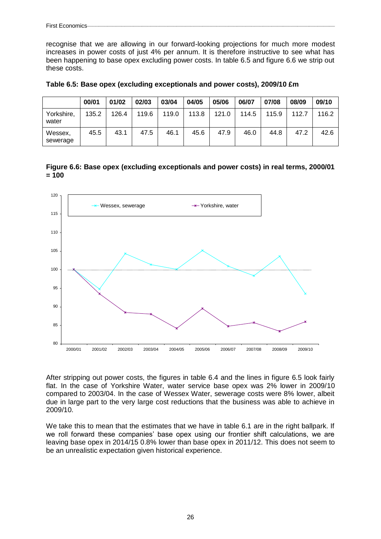recognise that we are allowing in our forward-looking projections for much more modest increases in power costs of just 4% per annum. It is therefore instructive to see what has been happening to base opex excluding power costs. In table 6.5 and figure 6.6 we strip out these costs.

| Table 6.5: Base opex (excluding exceptionals and power costs), 2009/10 £m |
|---------------------------------------------------------------------------|
|---------------------------------------------------------------------------|

|                     | 00/01 | 01/02 | 02/03 | 03/04 | 04/05 | 05/06 | 06/07 | 07/08 | 08/09 | 09/10 |
|---------------------|-------|-------|-------|-------|-------|-------|-------|-------|-------|-------|
| Yorkshire,<br>water | 135.2 | 126.4 | 119.6 | 119.0 | 113.8 | 121.0 | 114.5 | 115.9 | 112.7 | 116.2 |
| Wessex,<br>sewerage | 45.5  | 43.1  | 47.5  | 46.1  | 45.6  | 47.9  | 46.0  | 44.8  | 47.2  | 42.6  |

**Figure 6.6: Base opex (excluding exceptionals and power costs) in real terms, 2000/01 = 100**



After stripping out power costs, the figures in table 6.4 and the lines in figure 6.5 look fairly flat. In the case of Yorkshire Water, water service base opex was 2% lower in 2009/10 compared to 2003/04. In the case of Wessex Water, sewerage costs were 8% lower, albeit due in large part to the very large cost reductions that the business was able to achieve in 2009/10.

We take this to mean that the estimates that we have in table 6.1 are in the right ballpark. If we roll forward these companies' base opex using our frontier shift calculations, we are leaving base opex in 2014/15 0.8% lower than base opex in 2011/12. This does not seem to be an unrealistic expectation given historical experience.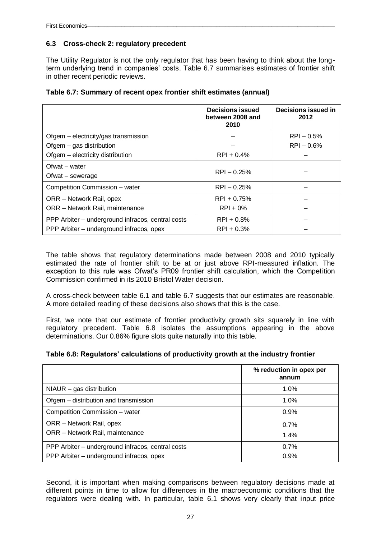### **6.3 Cross-check 2: regulatory precedent**

The Utility Regulator is not the only regulator that has been having to think about the longterm underlying trend in companies' costs. Table 6.7 summarises estimates of frontier shift in other recent periodic reviews.

| Table 6.7: Summary of recent opex frontier shift estimates (annual) |  |  |  |  |
|---------------------------------------------------------------------|--|--|--|--|
|---------------------------------------------------------------------|--|--|--|--|

|                                                   | <b>Decisions issued</b><br>between 2008 and<br>2010 | Decisions issued in<br>2012 |
|---------------------------------------------------|-----------------------------------------------------|-----------------------------|
| Ofgem – electricity/gas transmission              |                                                     | $RPI - 0.5%$                |
| Ofgem - gas distribution                          |                                                     | $RPI - 0.6%$                |
| Ofgem - electricity distribution                  | $RPI + 0.4%$                                        |                             |
| Ofwat – water<br>Ofwat – sewerage                 | $RPI - 0.25%$                                       |                             |
| Competition Commission - water                    | $RPI - 0.25%$                                       |                             |
| ORR - Network Rail, opex                          | $RPI + 0.75%$                                       |                             |
| ORR - Network Rail, maintenance                   | $RPI + 0\%$                                         |                             |
| PPP Arbiter – underground infracos, central costs | $RPI + 0.8%$                                        |                             |
| PPP Arbiter – underground infracos, opex          | $RPI + 0.3%$                                        |                             |

The table shows that regulatory determinations made between 2008 and 2010 typically estimated the rate of frontier shift to be at or just above RPI-measured inflation. The exception to this rule was Ofwat's PR09 frontier shift calculation, which the Competition Commission confirmed in its 2010 Bristol Water decision.

A cross-check between table 6.1 and table 6.7 suggests that our estimates are reasonable. A more detailed reading of these decisions also shows that this is the case.

First, we note that our estimate of frontier productivity growth sits squarely in line with regulatory precedent. Table 6.8 isolates the assumptions appearing in the above determinations. Our 0.86% figure slots quite naturally into this table.

| Table 6.8: Regulators' calculations of productivity growth at the industry frontier |  |  |  |  |
|-------------------------------------------------------------------------------------|--|--|--|--|
|-------------------------------------------------------------------------------------|--|--|--|--|

|                                                   | % reduction in opex per<br>annum |
|---------------------------------------------------|----------------------------------|
| $NIAUR - gas$ distribution                        | $1.0\%$                          |
| Ofgem – distribution and transmission             | $1.0\%$                          |
| Competition Commission - water                    | 0.9%                             |
| ORR – Network Rail, opex                          | 0.7%                             |
| ORR - Network Rail, maintenance                   | 1.4%                             |
| PPP Arbiter – underground infracos, central costs | 0.7%                             |
| PPP Arbiter - underground infracos, opex          | 0.9%                             |

Second, it is important when making comparisons between regulatory decisions made at different points in time to allow for differences in the macroeconomic conditions that the regulators were dealing with. In particular, table 6.1 shows very clearly that input price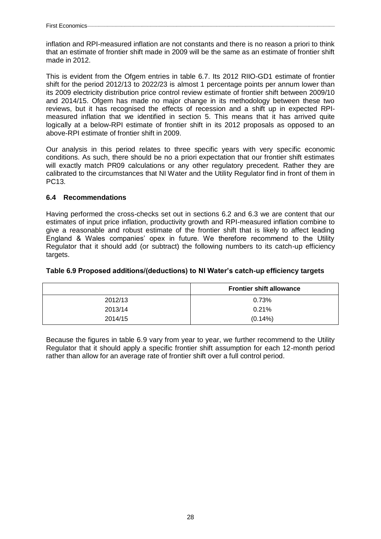inflation and RPI-measured inflation are not constants and there is no reason a priori to think that an estimate of frontier shift made in 2009 will be the same as an estimate of frontier shift made in 2012.

This is evident from the Ofgem entries in table 6.7. Its 2012 RIIO-GD1 estimate of frontier shift for the period 2012/13 to 2022/23 is almost 1 percentage points per annum lower than its 2009 electricity distribution price control review estimate of frontier shift between 2009/10 and 2014/15. Ofgem has made no major change in its methodology between these two reviews, but it has recognised the effects of recession and a shift up in expected RPImeasured inflation that we identified in section 5. This means that it has arrived quite logically at a below-RPI estimate of frontier shift in its 2012 proposals as opposed to an above-RPI estimate of frontier shift in 2009.

Our analysis in this period relates to three specific years with very specific economic conditions. As such, there should be no a priori expectation that our frontier shift estimates will exactly match PR09 calculations or any other regulatory precedent. Rather they are calibrated to the circumstances that NI Water and the Utility Regulator find in front of them in PC13.

### **6.4 Recommendations**

Having performed the cross-checks set out in sections 6.2 and 6.3 we are content that our estimates of input price inflation, productivity growth and RPI-measured inflation combine to give a reasonable and robust estimate of the frontier shift that is likely to affect leading England & Wales companies' opex in future. We therefore recommend to the Utility Regulator that it should add (or subtract) the following numbers to its catch-up efficiency targets.

### **Table 6.9 Proposed additions/(deductions) to NI Water's catch-up efficiency targets**

|         | <b>Frontier shift allowance</b> |
|---------|---------------------------------|
| 2012/13 | 0.73%                           |
| 2013/14 | 0.21%                           |
| 2014/15 | $(0.14\%)$                      |

Because the figures in table 6.9 vary from year to year, we further recommend to the Utility Regulator that it should apply a specific frontier shift assumption for each 12-month period rather than allow for an average rate of frontier shift over a full control period.